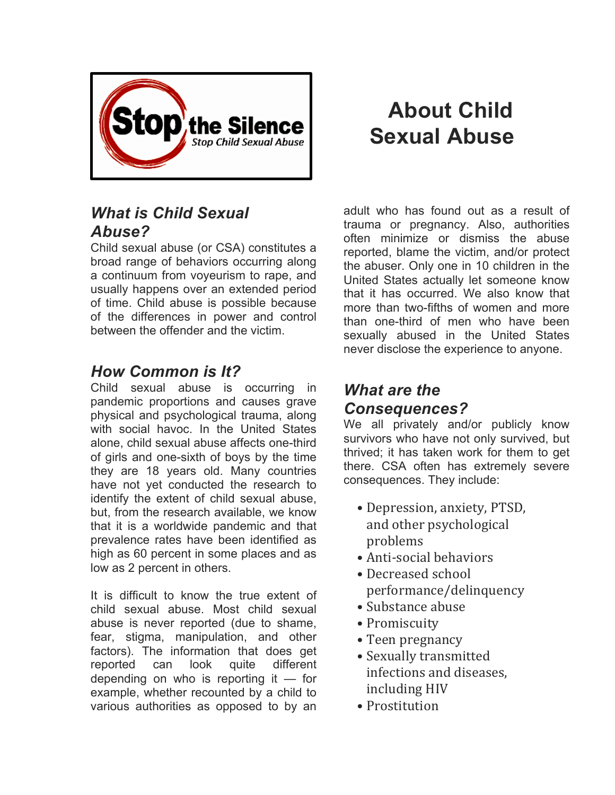

## *What is Child Sexual Abuse?*

Child sexual abuse (or CSA) constitutes a broad range of behaviors occurring along a continuum from voyeurism to rape, and usually happens over an extended period of time. Child abuse is possible because of the differences in power and control between the offender and the victim.

## *How Common is It?*

Child sexual abuse is occurring in pandemic proportions and causes grave physical and psychological trauma, along with social havoc. In the United States alone, child sexual abuse affects one-third of girls and one-sixth of boys by the time they are 18 years old. Many countries have not yet conducted the research to identify the extent of child sexual abuse, but, from the research available, we know that it is a worldwide pandemic and that prevalence rates have been identified as high as 60 percent in some places and as low as 2 percent in others.

It is difficult to know the true extent of child sexual abuse. Most child sexual abuse is never reported (due to shame, fear, stigma, manipulation, and other factors). The information that does get reported can look quite different depending on who is reporting it — for example, whether recounted by a child to various authorities as opposed to by an

## **About Child Sexual Abuse**

adult who has found out as a result of trauma or pregnancy. Also, authorities often minimize or dismiss the abuse reported, blame the victim, and/or protect the abuser. Only one in 10 children in the United States actually let someone know that it has occurred. We also know that more than two-fifths of women and more than one-third of men who have been sexually abused in the United States never disclose the experience to anyone.

## *What are the Consequences?*

We all privately and/or publicly know survivors who have not only survived, but thrived; it has taken work for them to get there. CSA often has extremely severe consequences. They include:

- Depression, anxiety, PTSD, and other psychological problems
- Anti-social behaviors
- Decreased school performance/delinquency
- Substance abuse
- Promiscuity
- Teen pregnancy
- Sexually transmitted infections and diseases, including HIV
- Prostitution